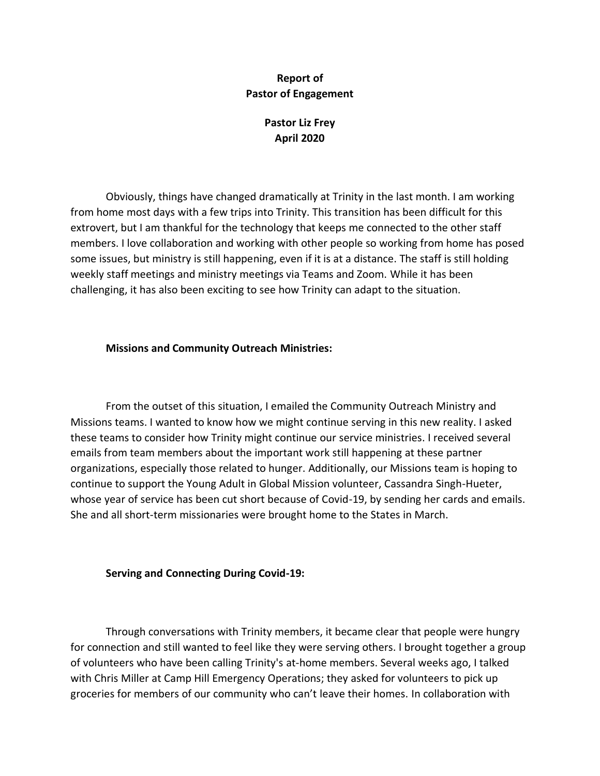## **Report of Pastor of Engagement**

# **Pastor Liz Frey April 2020**

Obviously, things have changed dramatically at Trinity in the last month. I am working from home most days with a few trips into Trinity. This transition has been difficult for this extrovert, but I am thankful for the technology that keeps me connected to the other staff members. I love collaboration and working with other people so working from home has posed some issues, but ministry is still happening, even if it is at a distance. The staff is still holding weekly staff meetings and ministry meetings via Teams and Zoom. While it has been challenging, it has also been exciting to see how Trinity can adapt to the situation.

### **Missions and Community Outreach Ministries:**

From the outset of this situation, I emailed the Community Outreach Ministry and Missions teams. I wanted to know how we might continue serving in this new reality. I asked these teams to consider how Trinity might continue our service ministries. I received several emails from team members about the important work still happening at these partner organizations, especially those related to hunger. Additionally, our Missions team is hoping to continue to support the Young Adult in Global Mission volunteer, Cassandra Singh-Hueter, whose year of service has been cut short because of Covid-19, by sending her cards and emails. She and all short-term missionaries were brought home to the States in March.

### **Serving and Connecting During Covid-19:**

Through conversations with Trinity members, it became clear that people were hungry for connection and still wanted to feel like they were serving others. I brought together a group of volunteers who have been calling Trinity's at-home members. Several weeks ago, I talked with Chris Miller at Camp Hill Emergency Operations; they asked for volunteers to pick up groceries for members of our community who can't leave their homes. In collaboration with